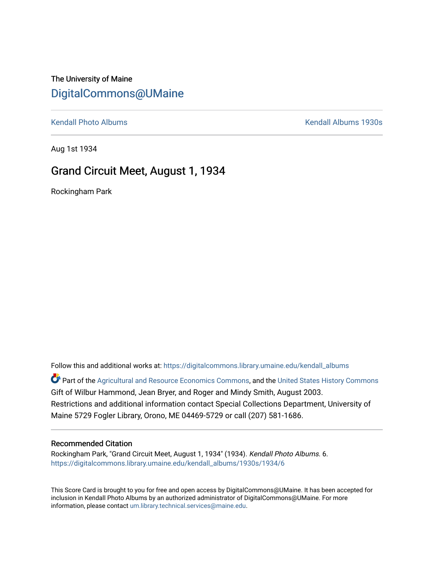## The University of Maine [DigitalCommons@UMaine](https://digitalcommons.library.umaine.edu/)

[Kendall Photo Albums](https://digitalcommons.library.umaine.edu/kendall_albums) **Kendall Albums 1930s** 

Aug 1st 1934

### Grand Circuit Meet, August 1, 1934

Rockingham Park

Follow this and additional works at: [https://digitalcommons.library.umaine.edu/kendall\\_albums](https://digitalcommons.library.umaine.edu/kendall_albums?utm_source=digitalcommons.library.umaine.edu%2Fkendall_albums%2F1930s%2F1934%2F6&utm_medium=PDF&utm_campaign=PDFCoverPages)  Part of the [Agricultural and Resource Economics Commons,](http://network.bepress.com/hgg/discipline/317?utm_source=digitalcommons.library.umaine.edu%2Fkendall_albums%2F1930s%2F1934%2F6&utm_medium=PDF&utm_campaign=PDFCoverPages) and the [United States History Commons](http://network.bepress.com/hgg/discipline/495?utm_source=digitalcommons.library.umaine.edu%2Fkendall_albums%2F1930s%2F1934%2F6&utm_medium=PDF&utm_campaign=PDFCoverPages) Gift of Wilbur Hammond, Jean Bryer, and Roger and Mindy Smith, August 2003.

Restrictions and additional information contact Special Collections Department, University of Maine 5729 Fogler Library, Orono, ME 04469-5729 or call (207) 581-1686.

### Recommended Citation

Rockingham Park, "Grand Circuit Meet, August 1, 1934" (1934). Kendall Photo Albums. 6. [https://digitalcommons.library.umaine.edu/kendall\\_albums/1930s/1934/6](https://digitalcommons.library.umaine.edu/kendall_albums/1930s/1934/6?utm_source=digitalcommons.library.umaine.edu%2Fkendall_albums%2F1930s%2F1934%2F6&utm_medium=PDF&utm_campaign=PDFCoverPages) 

This Score Card is brought to you for free and open access by DigitalCommons@UMaine. It has been accepted for inclusion in Kendall Photo Albums by an authorized administrator of DigitalCommons@UMaine. For more information, please contact [um.library.technical.services@maine.edu](mailto:um.library.technical.services@maine.edu).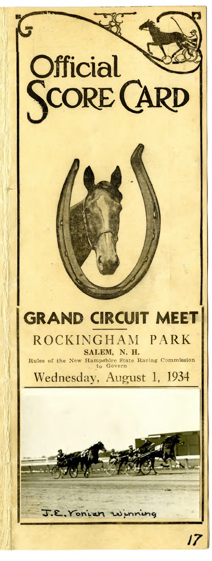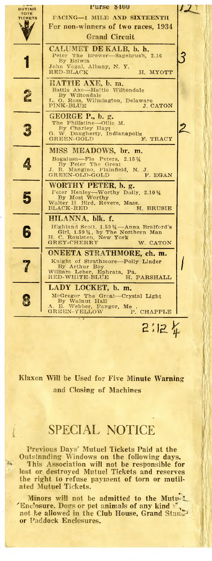**Purse \$400** BUYING<br>TOTE  $\overline{\mathcal{L}}$ PACING-1 MILE AND SIXTEENTH TICKETS **ASES** For non-winners of two races, 1934 **Grand Circuit** CALUMET DE KALB, b. h. Peter The B<br>By Belwin<br>John Vogal, /<br>RED-BLACK ろ Brewer-Sagebrush, 2.16 Albany, N.Y. H. MYOTT MATTIE AXE, b. m.<br>Battle Axe-Hattie Wiltondale Battle Axe-have<br>By Wiltondale 2 By W. Boss, Wilmington, Delaware PINK-BLUE J. CATON GEORGE P., b. g. The Philistine---Ollie M.<br>
By Charley Hayt<br>
G. W. Daugherty, Indianapolis<br>
GREEN-GOLD<br>
F. TRACY 3 MISS MEADOWS, br. m. Lers,  $2.15\frac{1}{4}$ <br>Great Bogalusa—Flo F<br>By Peter The<br>B. Mangino, F Bogalusa-Peters, 4 Plainfield, N. J J.<br>F. EGAN GREEN-OLD-GOLD WORTHY PETER, b. g. Feter Henley—Worthy Dolly, 2.10 1/4<br>By Most Worthy<br>Walter H. Bird, Revere, Mass.<br>BLACK-RED H. BRU 5 H. BRUSIE HILANNA, blk. f. Highland Scott. 1.594 --- Anna Braiford's<br>Girl, 1.594, by The Northern Man<br>H. C. Roulston, New York<br>GREY-CHERRY W. CATON 6 ONEETA STRATHMORE, ch. m. of Strathmore-Polly Linder Knight Ī By Arthur Boy<br>William Leber, Ephrata, Pa.<br>RED-WHITE-BLUE H. PARSHALL LADY LOCKET, b. m. McGregor The Great-Crystal Light<br>By Walnut Hall<br>A. E. Webber, Eangor, Me .<br>GREEN-YELLOW P. CHAPP 8 e<br>P. CHAPPLE  $2:124$ 

Klaxon Will be Used for Five Minute Warning and Closing of Machines

### **SPECIAL NOTICE**

Previous Days' Mutuel Tickets Paid at the Outstanding Windows on the following days. This Association will not be responsible for lost or destroyed Mutuel Tickets and reserves the right to refuse payment of torn or mutil-<br>ated Mutuel Tickets.

'n.

Minors will not be admitted to the Mutu-L 'Enclosure. Dogs or pet animals of any kind  $\sqrt{ }$ not be allowed in the Club House, Grand Stand<sup>3</sup> or Paddock Enclosures.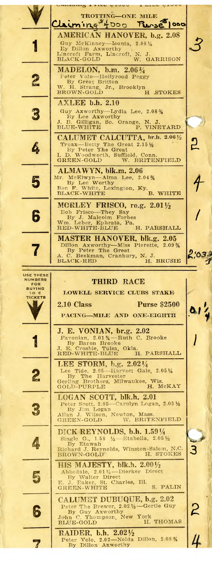TROTTING-ONE MILE Claiming + Doo Plesse 1000 AMERICAN HANOVER, b.g. 2.08 Guy Mex.<br>By Dillon McKinney-Isonta, 2.081/4 l, By Dillon Axworthy<br>Lineroft Farm, Lineroft, N. J.<br>BLACK-GOLD W. GARRISON MADELON, b.m. 2.063/4 eter Volo-Hollyre<br>By Great Britton<br>H. Strang, Jr., Hollyrood Peggy 2 W. H. Strang, Jr., Brooklyn BROWN-GOLD H .STOKES AXLEE b.h. 2.10 Guy Axworthy—Lydia Lee, 2.08% By Lee Axworthy<br>J. B. Gilligan, So. Orange, N. J.<br>ELUE-WHITE P. VINEYARD S CALUMET CALCUTTA, br h. 2.061/2 <u>၅</u> Truax—Betty The Great 2.15 1/2<br>By Peter The Great<br>D. Woodworth, Suffield, Conr<br>N. D. W. OOLD W. BRITE 4 Conn. **GREEN-GOLD** W. BRITENFIELD ALMAWYN, blk.m. 2.06<br>Mr. McElwyn-Alma Lee, 2.04%<br>By Lee Worthy<br>Ben F. White, Lexington, Ky.<br>BLACK-WHITE 5 rthy<br>Lexington, Ky.<br>B. WHITE MORLEY FRISCO, ro.g. 2.011/2 RORELLI PRECO, 16.8. 2.0172<br>
Bob Frisco—They Say<br>
By J. Malcolm Forbes<br>
Wm. Leber, Ephrata, Pa.<br>
RED-WHITE-BLUE H. PARSHALL 6 MASTER HANOVER, blk.g. 2.05<br>Dillon Axworthy-Miss Pierette, 2.09%<br>By Peter The Great By Peter The Great<br>C. Beekman, Cranbury, N. J.<br>C. BRUSIE H. BRUSIE  $2,033$  $\mathbf C$ BLACK-RED USE THESE<br>NUMBERS THIRD RACE FOR<br>FOR<br>BUYING LOWELL SERVICE CLUBS STAKE 0. TICKETS N, 2.10 Class **Purse \$2500** 61 PACING-MILE AND ONE-EIGHTH J. E. VONIAN, br.g. 2.02<br>Favonian, 2.01%-Ruth C. Brooke i<br>N Okla.<br>H. PARSHALL RED-WHITE 1.<br>
LEE STORM, b.g. 2.021/4<br>
Lee Tide, 2.05—Harvest Gale, 2.054/4<br>
By The Harvester<br>
Gerling Brothers, Milwaukee, Wis.<br>
H. McKAY 2 GOLD-PURPLE LOGAN SCOTT, blk.h. 2.01<br>Peter Scott, 2.05-Carolyn Logan, 2.05 1/2 Peter Scott, 2.05—Carolyn Logan, 2.05½<br>By Jim Logan<br>Allan J. Wilson, Newton, Mass.<br>GREEN-GOLD W. BRITENFIELD 3 DICK REYNOLDS, b.h. 1.591/4 Single G., 1.00<br>By Etawah<br>Explored J. Reynolds, Winston  $\frac{1}{2}$ -Etabella, 2.05 $\frac{1}{2}$ 4 n-Salem, N.C.<br>H. STOKES Richard J. Reyn<br>BROWN-GOLD 3 HIS MAJESTY, blk.h. 2.001/2<br>Abbedale, 2.011/4-Dierker Direct<br>E. J. Eaker, St. Charles, Ill. GREEN-WHITE S. F 5 S. PALIN CALUMET DUBUQUE, b.g. 2.02 Peter The Brewer, 2.021/2-Gertie Guy<br>By Guy Axworthy<br>John C. Thompson, New York<br>BLUE-GOLD H. THOMAS 6 John C. Thor RAIDER, b.h. 2.021/2 Peter Volo, 2.02-Nelda Dillon, 2.08%<br>By Dillon Axworthy  $\overline{\mathcal{L}}$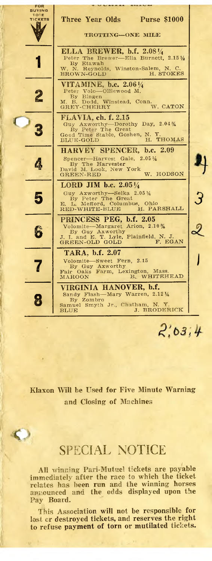

 $2,03,4$ 

**Klaxon Will be Used for Five Minute Warning and Closing of Machines**

# SPECIAL NOTICE

 $\bullet$ 

**All winning Pari-Mutuel tickets are payable immediately after the race to which the ticket relates has been run and the winning horses announced and the odds displayed upon the Pay Board.**

**This Association will not be responsible for lost or destroyed tickets, and reserves the right to refuse payment of torn or mutilated tickets.**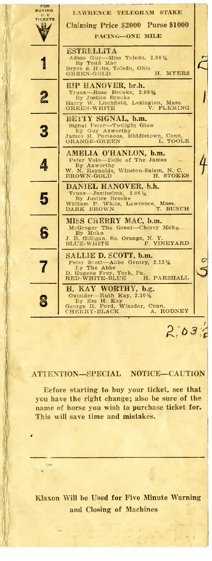

#### **ATTENTION— SPECIAL NOTICE— CAUTION**

**Before starting to buy your ticket, see that you have the right change; also be sure of the name of horse you wish to purchase ticket for. This will save time and mistakes.**

*4*

S  $\mathbf{r}$ 

**Klaxon Will he Used for Five Minute Warning and Closing of Machines**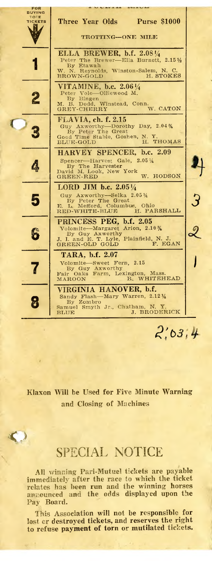

**Klaxon Will be Used for Five Minute Warning and Closing of Machines**

## SPECIAL NOTICE

**All winning Pari-Mutuel tickets are payable immediately after the race to which the ticket relates has been run and the winning horses announced and the odds displayed upon the Pay Board.**

**This Association will not be responsible for lost or destroyed tickets, and reserves the right to refuse payment of torn or mutilated tickets.**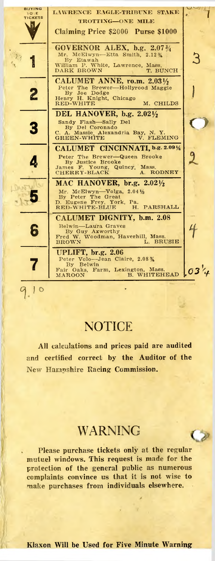BUYING LAWRENCE EAGLE-TRIBUNE STAKE TO E<br>TICKETS **TROTTING-ONE MILE** Ņ, **Claiming Price \$2000 Purse \$1000 GOVERNOR ALEX, b.g. 2.073/4** Mr. McElwyn-Etta Smith,  $2.12\frac{3}{4}$ **3 1** B y E ta w a h W illia m P. W h ite , L a w re n ce , M as s. D A R K B R O W N T. B U N C H **CALUMET ANNE, ro.m. 2.031/2** Peter The Brewer—Hollyrood Maggie<br>By Joe Dodge<br>Henry H. Knight, Chicago<br>RED-WHITE M. CHILDS *2* **1 DEL HANOVER, b.g. 2.02 1/2** Sandy Flash—Sally Del<br>By Del Coronado<br>C. A. Massie Alexandria Bay, N. Y. **O** 3 C. A. Massie, Alexandria Bay, N. Y.<br>GREEN-WHITE V. FLEMING **CALUMET CINCINNATI, b.g. 2.09 1/4** 2 Peter The Brewer—Queen Brooke<br>By Justice Brooke<br>James F. Young, Quincy, Mass.<br>CHERRY-BLACK A. RODNEY 4 **MAC HANOVER, br.g. 2.02 1/2** 5 Mr. McElwyn—Volga, 2.04½<br>By Peter The Great<br>D. Eugene Frey, York, Pa.<br>RED-WHITE-BLUE H. PARSHALI **CALUMET DIGNITY, b.m. 2.08 f** B e lw in — L a u ra G ra v es B y G u y A x w o r th y F re d W . W o o d m a n , H a v e rh ill, M ass. B R O W N L . B R U S IE a UPLIFT, br.g. 2.06<br>
Peter Volo-Jean Claire, 2.08 % 7 Fair Oaks, Farm, Lexington, Mass.<br>MAROON B. WHITEHEAD **.03**  $1$  o

## **NOTICE**

**All calculations and prices paid are audited and certified correct by the Auditor of the New Hampshire Racing Commission.**

## **WARNING**

 $\circ$ 

**Please purchase tickets only at the regular mutuel windows. This request is made for the protection of the general public as numerous complaints convince us that it is not wise to make purchases from individuals elsewhere.**

**Klaxon Will be Used for Five Minute Warning**